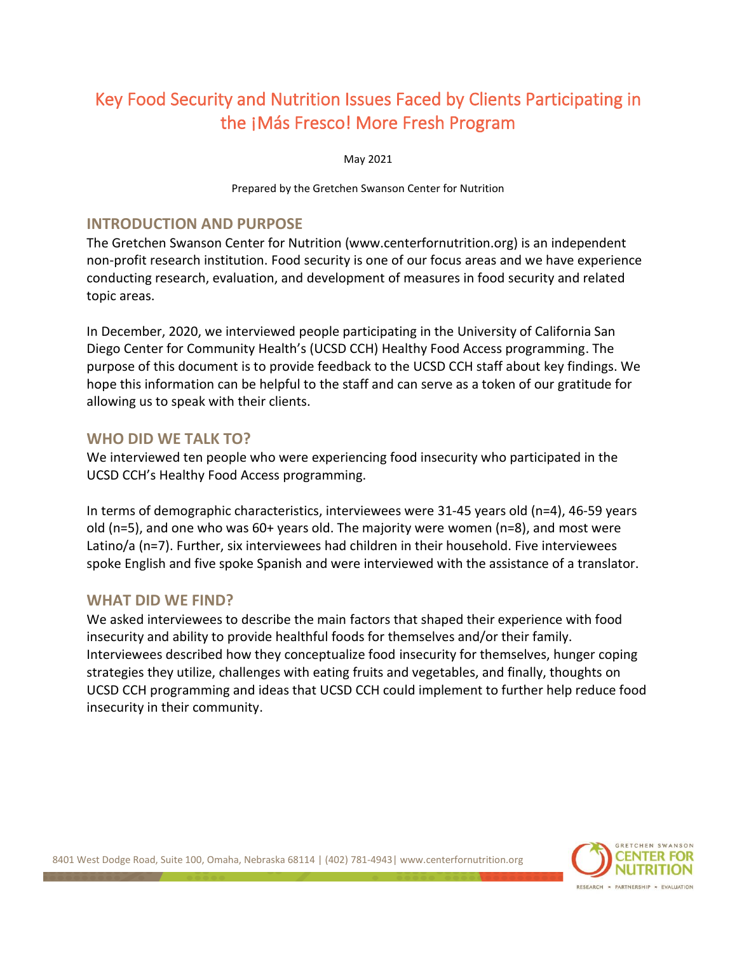# Key Food Security and Nutrition Issues Faced by Clients Participating in the ¡Más Fresco! More Fresh Program

May 2021

Prepared by the Gretchen Swanson Center for Nutrition

#### **INTRODUCTION AND PURPOSE**

The Gretchen Swanson Center for Nutrition (www.centerfornutrition.org) is an independent non-profit research institution. Food security is one of our focus areas and we have experience conducting research, evaluation, and development of measures in food security and related topic areas.

In December, 2020, we interviewed people participating in the University of California San Diego Center for Community Health's (UCSD CCH) Healthy Food Access programming. The purpose of this document is to provide feedback to the UCSD CCH staff about key findings. We hope this information can be helpful to the staff and can serve as a token of our gratitude for allowing us to speak with their clients.

### **WHO DID WE TALK TO?**

We interviewed ten people who were experiencing food insecurity who participated in the UCSD CCH's Healthy Food Access programming.

In terms of demographic characteristics, interviewees were 31-45 years old (n=4), 46-59 years old (n=5), and one who was 60+ years old. The majority were women (n=8), and most were Latino/a (n=7). Further, six interviewees had children in their household. Five interviewees spoke English and five spoke Spanish and were interviewed with the assistance of a translator.

#### **WHAT DID WE FIND?**

We asked interviewees to describe the main factors that shaped their experience with food insecurity and ability to provide healthful foods for themselves and/or their family. Interviewees described how they conceptualize food insecurity for themselves, hunger coping strategies they utilize, challenges with eating fruits and vegetables, and finally, thoughts on UCSD CCH programming and ideas that UCSD CCH could implement to further help reduce food insecurity in their community.

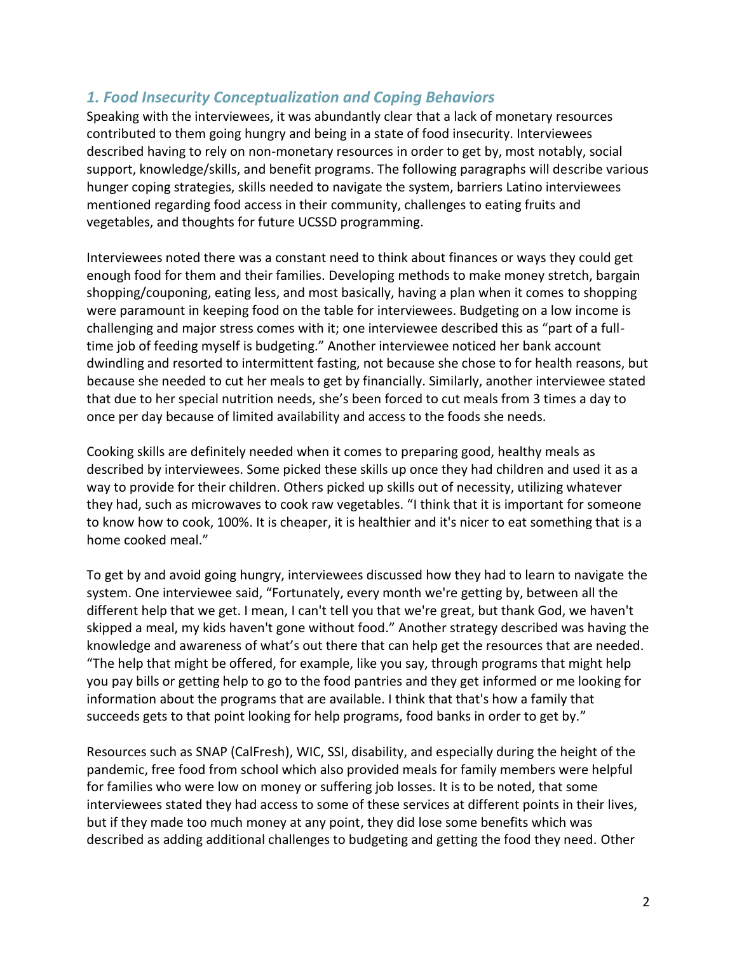## *1. Food Insecurity Conceptualization and Coping Behaviors*

Speaking with the interviewees, it was abundantly clear that a lack of monetary resources contributed to them going hungry and being in a state of food insecurity. Interviewees described having to rely on non-monetary resources in order to get by, most notably, social support, knowledge/skills, and benefit programs. The following paragraphs will describe various hunger coping strategies, skills needed to navigate the system, barriers Latino interviewees mentioned regarding food access in their community, challenges to eating fruits and vegetables, and thoughts for future UCSSD programming.

Interviewees noted there was a constant need to think about finances or ways they could get enough food for them and their families. Developing methods to make money stretch, bargain shopping/couponing, eating less, and most basically, having a plan when it comes to shopping were paramount in keeping food on the table for interviewees. Budgeting on a low income is challenging and major stress comes with it; one interviewee described this as "part of a fulltime job of feeding myself is budgeting." Another interviewee noticed her bank account dwindling and resorted to intermittent fasting, not because she chose to for health reasons, but because she needed to cut her meals to get by financially. Similarly, another interviewee stated that due to her special nutrition needs, she's been forced to cut meals from 3 times a day to once per day because of limited availability and access to the foods she needs.

Cooking skills are definitely needed when it comes to preparing good, healthy meals as described by interviewees. Some picked these skills up once they had children and used it as a way to provide for their children. Others picked up skills out of necessity, utilizing whatever they had, such as microwaves to cook raw vegetables. "I think that it is important for someone to know how to cook, 100%. It is cheaper, it is healthier and it's nicer to eat something that is a home cooked meal."

To get by and avoid going hungry, interviewees discussed how they had to learn to navigate the system. One interviewee said, "Fortunately, every month we're getting by, between all the different help that we get. I mean, I can't tell you that we're great, but thank God, we haven't skipped a meal, my kids haven't gone without food." Another strategy described was having the knowledge and awareness of what's out there that can help get the resources that are needed. "The help that might be offered, for example, like you say, through programs that might help you pay bills or getting help to go to the food pantries and they get informed or me looking for information about the programs that are available. I think that that's how a family that succeeds gets to that point looking for help programs, food banks in order to get by."

Resources such as SNAP (CalFresh), WIC, SSI, disability, and especially during the height of the pandemic, free food from school which also provided meals for family members were helpful for families who were low on money or suffering job losses. It is to be noted, that some interviewees stated they had access to some of these services at different points in their lives, but if they made too much money at any point, they did lose some benefits which was described as adding additional challenges to budgeting and getting the food they need. Other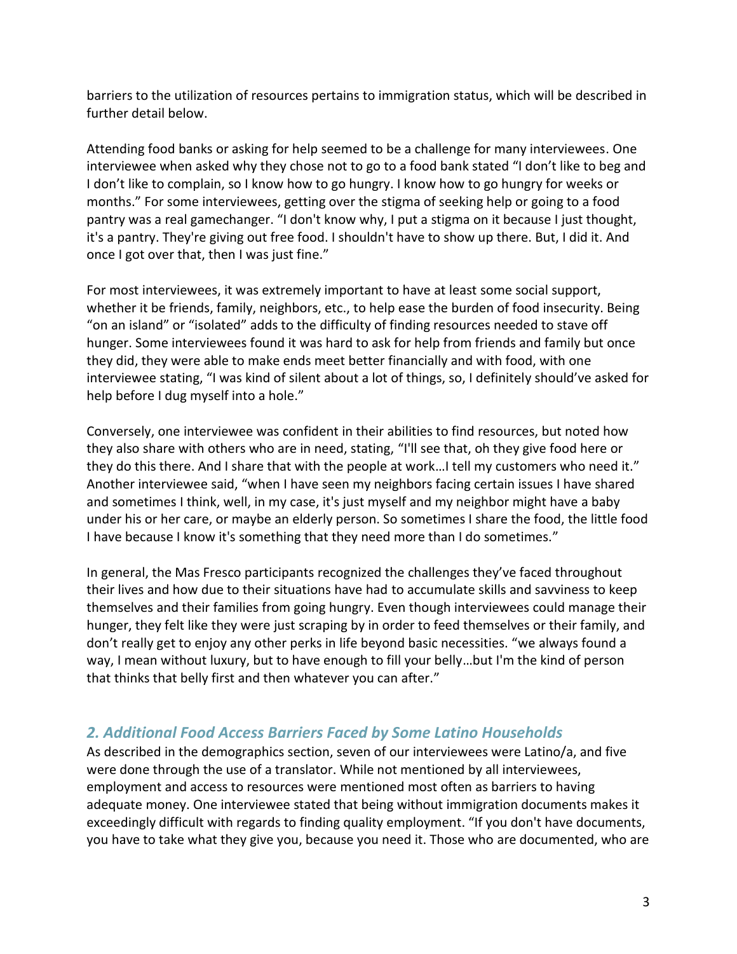barriers to the utilization of resources pertains to immigration status, which will be described in further detail below.

Attending food banks or asking for help seemed to be a challenge for many interviewees. One interviewee when asked why they chose not to go to a food bank stated "I don't like to beg and I don't like to complain, so I know how to go hungry. I know how to go hungry for weeks or months." For some interviewees, getting over the stigma of seeking help or going to a food pantry was a real gamechanger. "I don't know why, I put a stigma on it because I just thought, it's a pantry. They're giving out free food. I shouldn't have to show up there. But, I did it. And once I got over that, then I was just fine."

For most interviewees, it was extremely important to have at least some social support, whether it be friends, family, neighbors, etc., to help ease the burden of food insecurity. Being "on an island" or "isolated" adds to the difficulty of finding resources needed to stave off hunger. Some interviewees found it was hard to ask for help from friends and family but once they did, they were able to make ends meet better financially and with food, with one interviewee stating, "I was kind of silent about a lot of things, so, I definitely should've asked for help before I dug myself into a hole."

Conversely, one interviewee was confident in their abilities to find resources, but noted how they also share with others who are in need, stating, "I'll see that, oh they give food here or they do this there. And I share that with the people at work…I tell my customers who need it." Another interviewee said, "when I have seen my neighbors facing certain issues I have shared and sometimes I think, well, in my case, it's just myself and my neighbor might have a baby under his or her care, or maybe an elderly person. So sometimes I share the food, the little food I have because I know it's something that they need more than I do sometimes."

In general, the Mas Fresco participants recognized the challenges they've faced throughout their lives and how due to their situations have had to accumulate skills and savviness to keep themselves and their families from going hungry. Even though interviewees could manage their hunger, they felt like they were just scraping by in order to feed themselves or their family, and don't really get to enjoy any other perks in life beyond basic necessities. "we always found a way, I mean without luxury, but to have enough to fill your belly…but I'm the kind of person that thinks that belly first and then whatever you can after."

## *2. Additional Food Access Barriers Faced by Some Latino Households*

As described in the demographics section, seven of our interviewees were Latino/a, and five were done through the use of a translator. While not mentioned by all interviewees, employment and access to resources were mentioned most often as barriers to having adequate money. One interviewee stated that being without immigration documents makes it exceedingly difficult with regards to finding quality employment. "If you don't have documents, you have to take what they give you, because you need it. Those who are documented, who are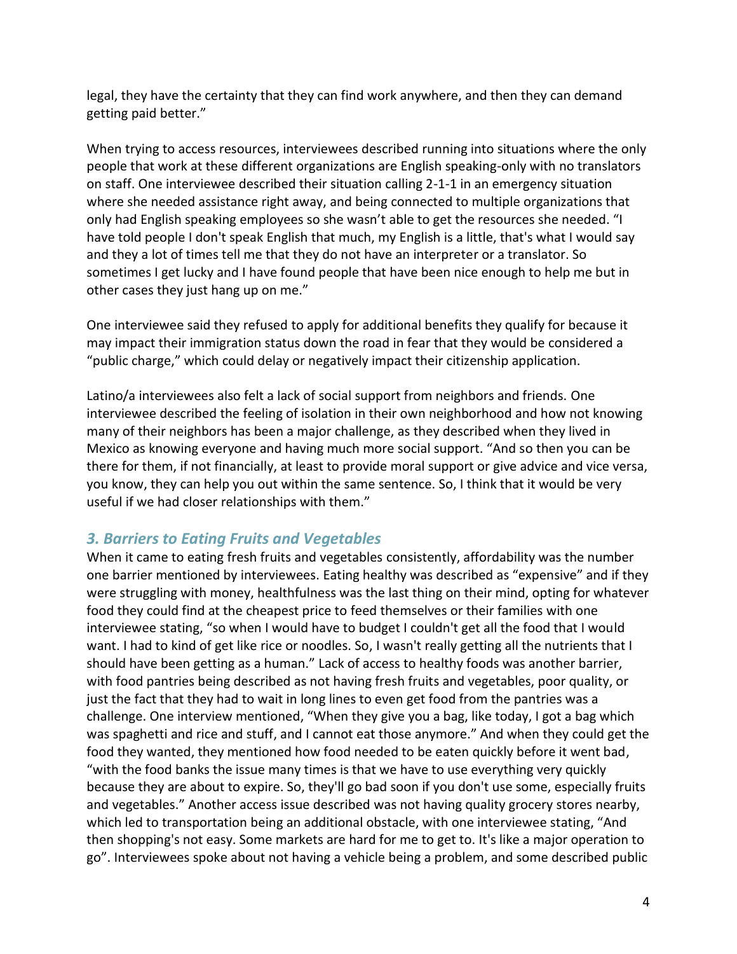legal, they have the certainty that they can find work anywhere, and then they can demand getting paid better."

When trying to access resources, interviewees described running into situations where the only people that work at these different organizations are English speaking-only with no translators on staff. One interviewee described their situation calling 2-1-1 in an emergency situation where she needed assistance right away, and being connected to multiple organizations that only had English speaking employees so she wasn't able to get the resources she needed. "I have told people I don't speak English that much, my English is a little, that's what I would say and they a lot of times tell me that they do not have an interpreter or a translator. So sometimes I get lucky and I have found people that have been nice enough to help me but in other cases they just hang up on me."

One interviewee said they refused to apply for additional benefits they qualify for because it may impact their immigration status down the road in fear that they would be considered a "public charge," which could delay or negatively impact their citizenship application.

Latino/a interviewees also felt a lack of social support from neighbors and friends. One interviewee described the feeling of isolation in their own neighborhood and how not knowing many of their neighbors has been a major challenge, as they described when they lived in Mexico as knowing everyone and having much more social support. "And so then you can be there for them, if not financially, at least to provide moral support or give advice and vice versa, you know, they can help you out within the same sentence. So, I think that it would be very useful if we had closer relationships with them."

#### *3. Barriers to Eating Fruits and Vegetables*

When it came to eating fresh fruits and vegetables consistently, affordability was the number one barrier mentioned by interviewees. Eating healthy was described as "expensive" and if they were struggling with money, healthfulness was the last thing on their mind, opting for whatever food they could find at the cheapest price to feed themselves or their families with one interviewee stating, "so when I would have to budget I couldn't get all the food that I would want. I had to kind of get like rice or noodles. So, I wasn't really getting all the nutrients that I should have been getting as a human." Lack of access to healthy foods was another barrier, with food pantries being described as not having fresh fruits and vegetables, poor quality, or just the fact that they had to wait in long lines to even get food from the pantries was a challenge. One interview mentioned, "When they give you a bag, like today, I got a bag which was spaghetti and rice and stuff, and I cannot eat those anymore." And when they could get the food they wanted, they mentioned how food needed to be eaten quickly before it went bad, "with the food banks the issue many times is that we have to use everything very quickly because they are about to expire. So, they'll go bad soon if you don't use some, especially fruits and vegetables." Another access issue described was not having quality grocery stores nearby, which led to transportation being an additional obstacle, with one interviewee stating, "And then shopping's not easy. Some markets are hard for me to get to. It's like a major operation to go". Interviewees spoke about not having a vehicle being a problem, and some described public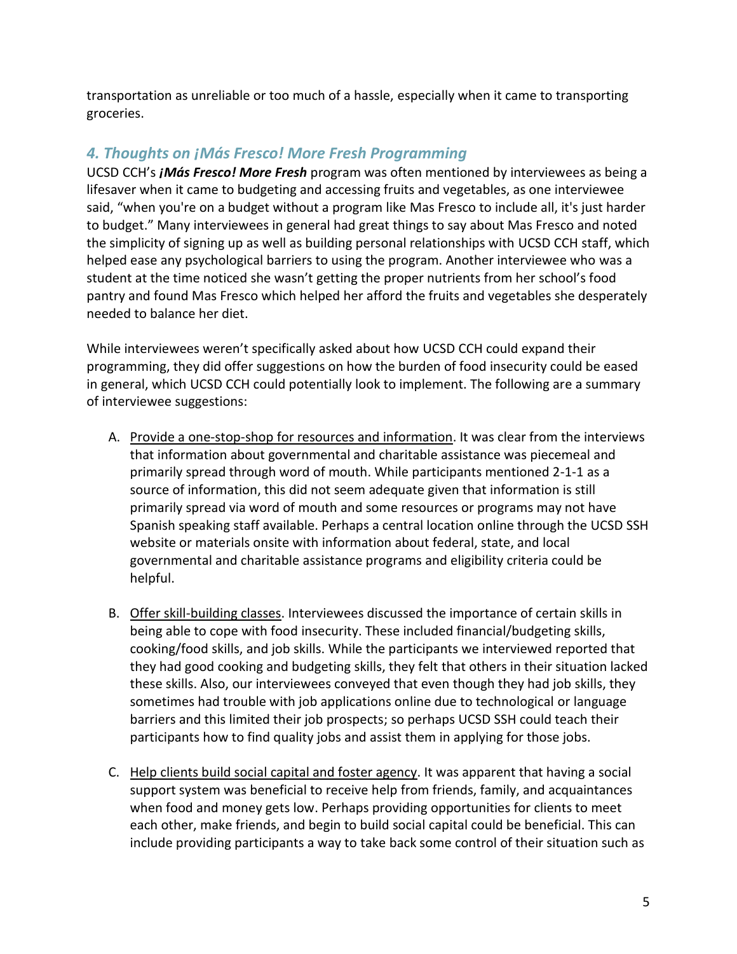transportation as unreliable or too much of a hassle, especially when it came to transporting groceries.

## *4. Thoughts on ¡Más Fresco! More Fresh Programming*

UCSD CCH's *¡Más Fresco! More Fresh* program was often mentioned by interviewees as being a lifesaver when it came to budgeting and accessing fruits and vegetables, as one interviewee said, "when you're on a budget without a program like Mas Fresco to include all, it's just harder to budget." Many interviewees in general had great things to say about Mas Fresco and noted the simplicity of signing up as well as building personal relationships with UCSD CCH staff, which helped ease any psychological barriers to using the program. Another interviewee who was a student at the time noticed she wasn't getting the proper nutrients from her school's food pantry and found Mas Fresco which helped her afford the fruits and vegetables she desperately needed to balance her diet.

While interviewees weren't specifically asked about how UCSD CCH could expand their programming, they did offer suggestions on how the burden of food insecurity could be eased in general, which UCSD CCH could potentially look to implement. The following are a summary of interviewee suggestions:

- A. Provide a one-stop-shop for resources and information. It was clear from the interviews that information about governmental and charitable assistance was piecemeal and primarily spread through word of mouth. While participants mentioned 2-1-1 as a source of information, this did not seem adequate given that information is still primarily spread via word of mouth and some resources or programs may not have Spanish speaking staff available. Perhaps a central location online through the UCSD SSH website or materials onsite with information about federal, state, and local governmental and charitable assistance programs and eligibility criteria could be helpful.
- B. Offer skill-building classes. Interviewees discussed the importance of certain skills in being able to cope with food insecurity. These included financial/budgeting skills, cooking/food skills, and job skills. While the participants we interviewed reported that they had good cooking and budgeting skills, they felt that others in their situation lacked these skills. Also, our interviewees conveyed that even though they had job skills, they sometimes had trouble with job applications online due to technological or language barriers and this limited their job prospects; so perhaps UCSD SSH could teach their participants how to find quality jobs and assist them in applying for those jobs.
- C. Help clients build social capital and foster agency. It was apparent that having a social support system was beneficial to receive help from friends, family, and acquaintances when food and money gets low. Perhaps providing opportunities for clients to meet each other, make friends, and begin to build social capital could be beneficial. This can include providing participants a way to take back some control of their situation such as